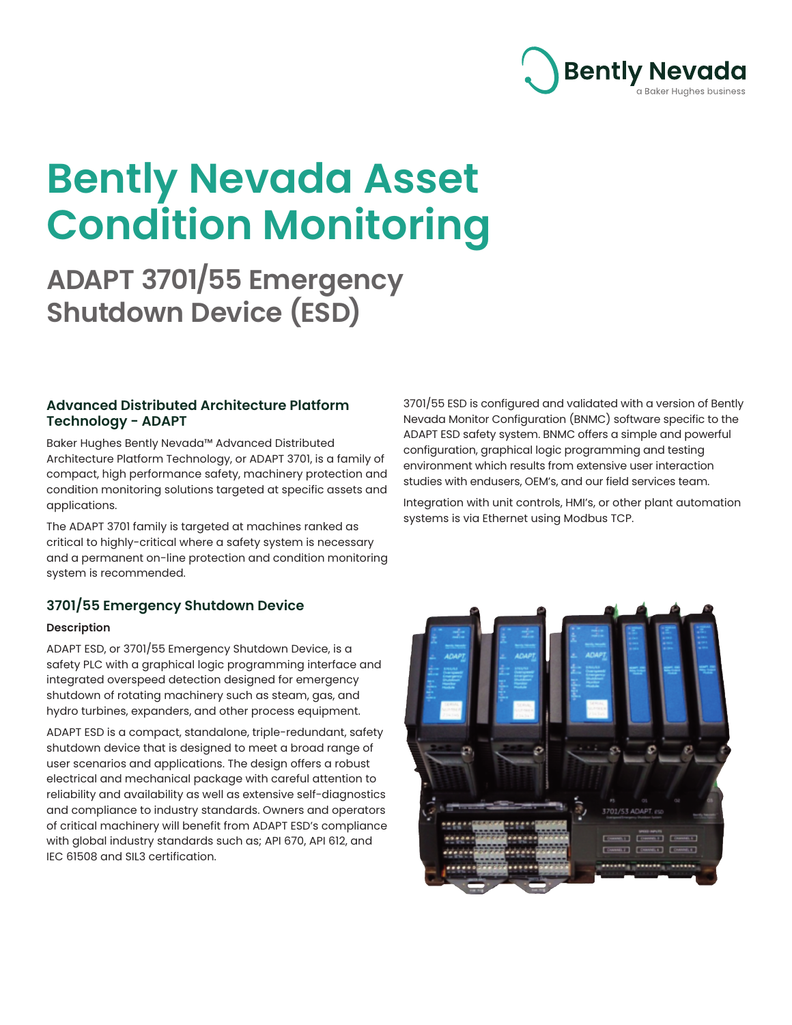

# **Bently Nevada Asset Condition Monitoring**

**ADAPT 3701/55 Emergency Shutdown Device (ESD)**

# **Advanced Distributed Architecture Platform Technology - ADAPT**

Baker Hughes Bently Nevada™ Advanced Distributed Architecture Platform Technology, or ADAPT 3701, is a family of compact, high performance safety, machinery protection and condition monitoring solutions targeted at specific assets and applications.

The ADAPT 3701 family is targeted at machines ranked as critical to highly-critical where a safety system is necessary and a permanent on-line protection and condition monitoring system is recommended.

# **3701/55 Emergency Shutdown Device**

#### **Description**

ADAPT ESD, or 3701/55 Emergency Shutdown Device, is a safety PLC with a graphical logic programming interface and integrated overspeed detection designed for emergency shutdown of rotating machinery such as steam, gas, and hydro turbines, expanders, and other process equipment.

ADAPT ESD is a compact, standalone, triple-redundant, safety shutdown device that is designed to meet a broad range of user scenarios and applications. The design offers a robust electrical and mechanical package with careful attention to reliability and availability as well as extensive self-diagnostics and compliance to industry standards. Owners and operators of critical machinery will benefit from ADAPT ESD's compliance with global industry standards such as; API 670, API 612, and IEC 61508 and SIL3 certification.

3701/55 ESD is configured and validated with a version of Bently Nevada Monitor Configuration (BNMC) software specific to the ADAPT ESD safety system. BNMC offers a simple and powerful configuration, graphical logic programming and testing environment which results from extensive user interaction studies with endusers, OEM's, and our field services team.

Integration with unit controls, HMI's, or other plant automation systems is via Ethernet using Modbus TCP.